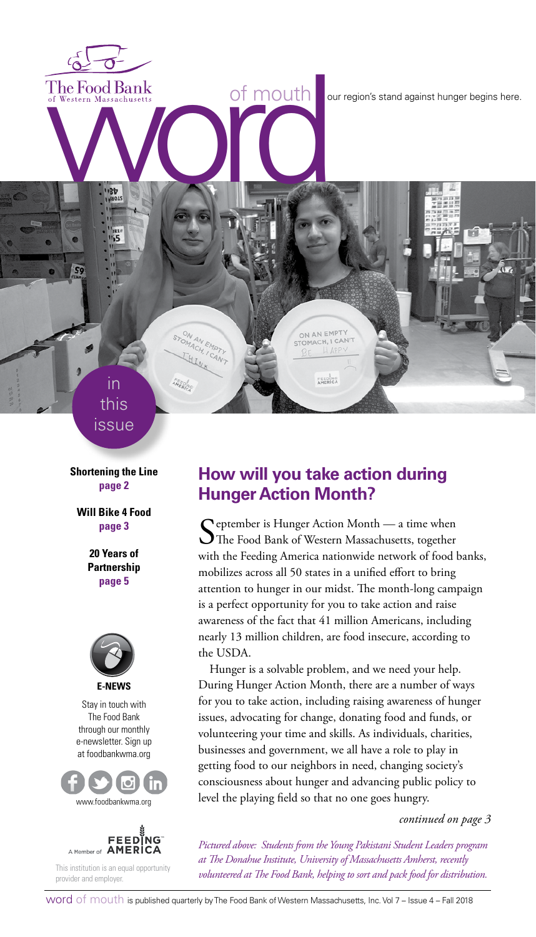The Food Bank<br>of Western Massachusetts<br>word word against hunger begins here.<br>Western Massachusetts<br>and the compact of the compact of the compact of the compact of the compact of the compact of the compact of the compact of

in this issue STON AN EMPTY

HUN

**AMERICA** 

**Shortening the Line page 2**

**Will Bike 4 Food page 3**

> **20 Years of Partnership page 5**



Stay in touch with The Food Bank through our monthly e-newsletter. Sign up at foodbankwma.org





This institution is an equal opportunity provider and employer.

## **How will you take action during Hunger Action Month?**

ON AN EMPTY STOMACH, I CAN'T

FEED NO

September is Hunger Action Month — a time when<br>The Food Bank of Western Massachusetts, together with the Feeding America nationwide network of food banks, mobilizes across all 50 states in a unified effort to bring attention to hunger in our midst. The month-long campaign is a perfect opportunity for you to take action and raise awareness of the fact that 41 million Americans, including nearly 13 million children, are food insecure, according to the USDA.

Hunger is a solvable problem, and we need your help. During Hunger Action Month, there are a number of ways for you to take action, including raising awareness of hunger issues, advocating for change, donating food and funds, or volunteering your time and skills. As individuals, charities, businesses and government, we all have a role to play in getting food to our neighbors in need, changing society's consciousness about hunger and advancing public policy to level the playing field so that no one goes hungry.

*continued on page 3*

*Pictured above: Students from the Young Pakistani Student Leaders program at The Donahue Institute, University of Massachusetts Amherst, recently volunteered at The Food Bank, helping to sort and pack food for distribution.*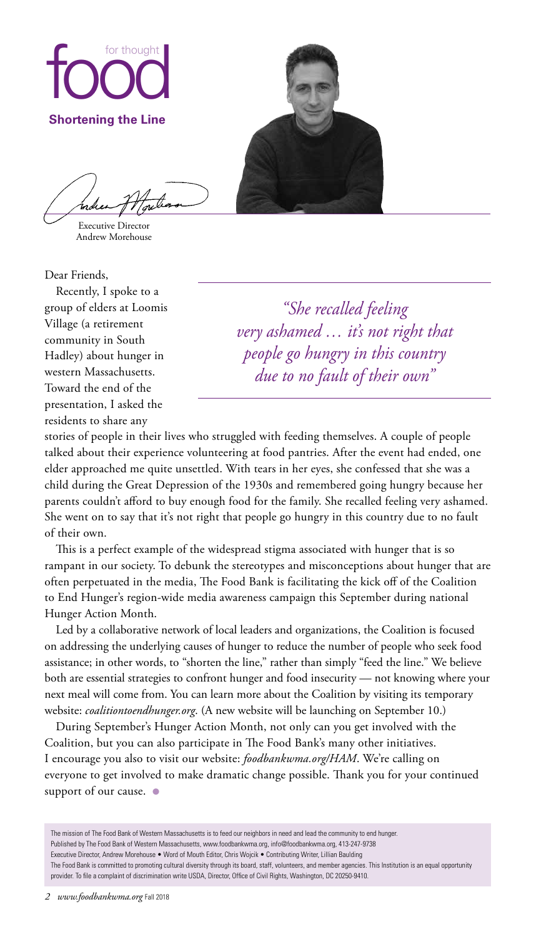

Executive Director Andrew Morehouse

Dear Friends,

Recently, I spoke to a group of elders at Loomis Village (a retirement community in South Hadley) about hunger in western Massachusetts. Toward the end of the presentation, I asked the residents to share any

*"She recalled feeling very ashamed … it's not right that people go hungry in this country due to no fault of their own"*

stories of people in their lives who struggled with feeding themselves. A couple of people talked about their experience volunteering at food pantries. After the event had ended, one elder approached me quite unsettled. With tears in her eyes, she confessed that she was a child during the Great Depression of the 1930s and remembered going hungry because her parents couldn't afford to buy enough food for the family. She recalled feeling very ashamed. She went on to say that it's not right that people go hungry in this country due to no fault of their own.

This is a perfect example of the widespread stigma associated with hunger that is so rampant in our society. To debunk the stereotypes and misconceptions about hunger that are often perpetuated in the media, The Food Bank is facilitating the kick off of the Coalition to End Hunger's region-wide media awareness campaign this September during national Hunger Action Month.

Led by a collaborative network of local leaders and organizations, the Coalition is focused on addressing the underlying causes of hunger to reduce the number of people who seek food assistance; in other words, to "shorten the line," rather than simply "feed the line." We believe both are essential strategies to confront hunger and food insecurity — not knowing where your next meal will come from. You can learn more about the Coalition by visiting its temporary website: *coalitiontoendhunger.org*. (A new website will be launching on September 10.)

During September's Hunger Action Month, not only can you get involved with the Coalition, but you can also participate in The Food Bank's many other initiatives. I encourage you also to visit our website: *foodbankwma.org/HAM*. We're calling on everyone to get involved to make dramatic change possible. Thank you for your continued support of our cause. ●

The mission of The Food Bank of Western Massachusetts is to feed our neighbors in need and lead the community to end hunger. Published by The Food Bank of Western Massachusetts, www.foodbankwma.org, info@foodbankwma.org, 413-247-9738 Executive Director, Andrew Morehouse • Word of Mouth Editor, Chris Wojcik • Contributing Writer, Lillian Baulding The Food Bank is committed to promoting cultural diversity through its board, staff, volunteers, and member agencies. This Institution is an equal opportunity provider. To file a complaint of discrimination write USDA, Director, Office of Civil Rights, Washington, DC 20250-9410.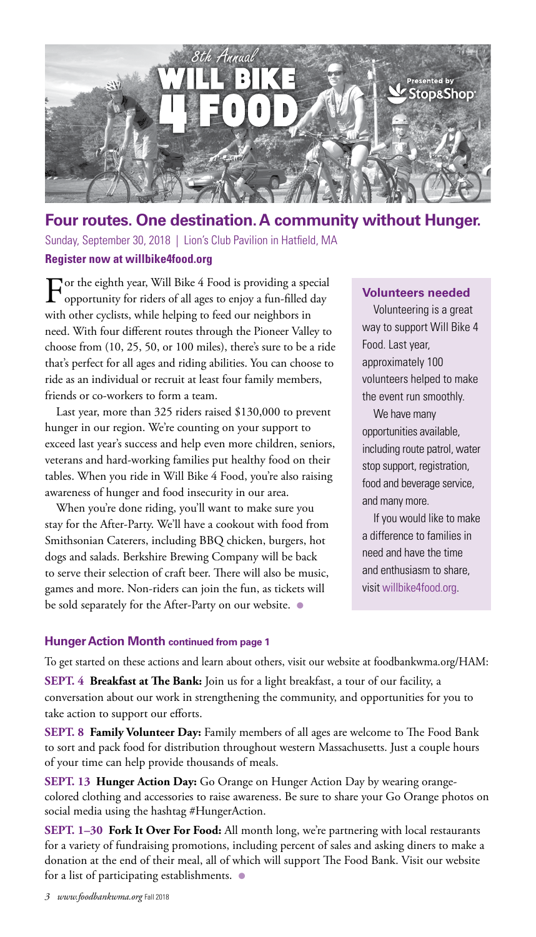

### **Four routes. One destination. A community without Hunger.**

Sunday, September 30, 2018 | Lion's Club Pavilion in Hatfield, MA **Register now at willbike4food.org**

For the eighth year, Will Bike 4 Food is providing a special opportunity for riders of all ages to enjoy a fun-filled day with other cyclists, while helping to feed our neighbors in need. With four different routes through the Pioneer Valley to choose from (10, 25, 50, or 100 miles), there's sure to be a ride that's perfect for all ages and riding abilities. You can choose to ride as an individual or recruit at least four family members, friends or co-workers to form a team.

Last year, more than 325 riders raised \$130,000 to prevent hunger in our region. We're counting on your support to exceed last year's success and help even more children, seniors, veterans and hard-working families put healthy food on their tables. When you ride in Will Bike 4 Food, you're also raising awareness of hunger and food insecurity in our area.

When you're done riding, you'll want to make sure you stay for the After-Party. We'll have a cookout with food from Smithsonian Caterers, including BBQ chicken, burgers, hot dogs and salads. Berkshire Brewing Company will be back to serve their selection of craft beer. There will also be music, games and more. Non-riders can join the fun, as tickets will be sold separately for the After-Party on our website.  $\bullet$ 

### **Volunteers needed**

Volunteering is a great way to support Will Bike 4 Food. Last year, approximately 100 volunteers helped to make the event run smoothly.

We have many opportunities available, including route patrol, water stop support, registration, food and beverage service, and many more.

If you would like to make a difference to families in need and have the time and enthusiasm to share, visit willbike4food.org.

### **Hunger Action Month continued from page 1**

To get started on these actions and learn about others, visit our website at foodbankwma.org/HAM:

**SEPT. 4 Breakfast at The Bank:** Join us for a light breakfast, a tour of our facility, a conversation about our work in strengthening the community, and opportunities for you to take action to support our efforts.

**SEPT. 8 Family Volunteer Day:** Family members of all ages are welcome to The Food Bank to sort and pack food for distribution throughout western Massachusetts. Just a couple hours of your time can help provide thousands of meals.

**SEPT. 13 Hunger Action Day:** Go Orange on Hunger Action Day by wearing orangecolored clothing and accessories to raise awareness. Be sure to share your Go Orange photos on social media using the hashtag #HungerAction.

**SEPT. 1–30 Fork It Over For Food:** All month long, we're partnering with local restaurants for a variety of fundraising promotions, including percent of sales and asking diners to make a donation at the end of their meal, all of which will support The Food Bank. Visit our website for a list of participating establishments.  $\bullet$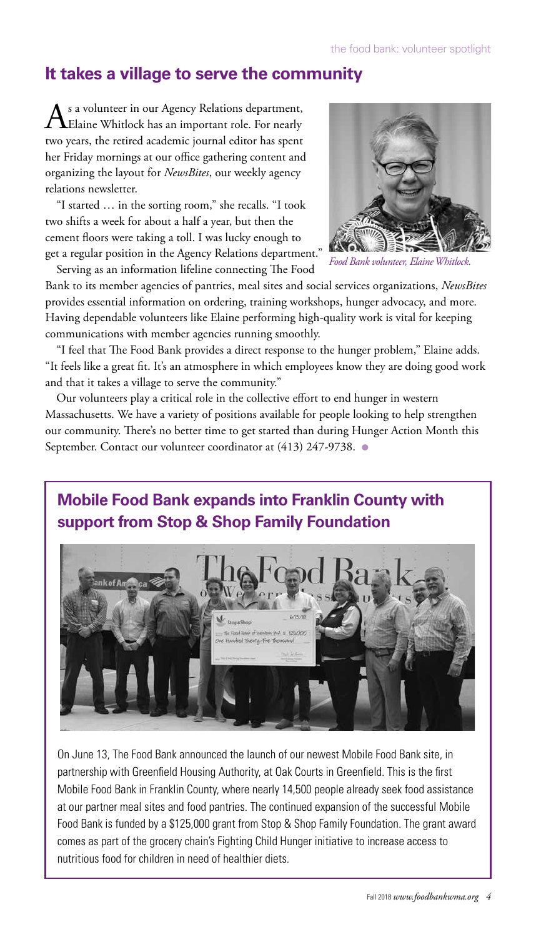## **It takes a village to serve the community**

s a volunteer in our Agency Relations department, Elaine Whitlock has an important role. For nearly two years, the retired academic journal editor has spent her Friday mornings at our office gathering content and organizing the layout for *NewsBites*, our weekly agency relations newsletter.

"I started … in the sorting room," she recalls. "I took two shifts a week for about a half a year, but then the cement floors were taking a toll. I was lucky enough to get a regular position in the Agency Relations department."

Serving as an information lifeline connecting The Food



*Food Bank volunteer, Elaine Whitlock.*

Bank to its member agencies of pantries, meal sites and social services organizations, *NewsBites* provides essential information on ordering, training workshops, hunger advocacy, and more. Having dependable volunteers like Elaine performing high-quality work is vital for keeping communications with member agencies running smoothly.

"I feel that The Food Bank provides a direct response to the hunger problem," Elaine adds. "It feels like a great fit. It's an atmosphere in which employees know they are doing good work and that it takes a village to serve the community."

Our volunteers play a critical role in the collective effort to end hunger in western Massachusetts. We have a variety of positions available for people looking to help strengthen our community. There's no better time to get started than during Hunger Action Month this September. Contact our volunteer coordinator at (413) 247-9738. ●

# **Mobile Food Bank expands into Franklin County with support from Stop & Shop Family Foundation**



On June 13, The Food Bank announced the launch of our newest Mobile Food Bank site, in partnership with Greenfield Housing Authority, at Oak Courts in Greenfield. This is the first Mobile Food Bank in Franklin County, where nearly 14,500 people already seek food assistance at our partner meal sites and food pantries. The continued expansion of the successful Mobile Food Bank is funded by a \$125,000 grant from Stop & Shop Family Foundation. The grant award comes as part of the grocery chain's Fighting Child Hunger initiative to increase access to nutritious food for children in need of healthier diets.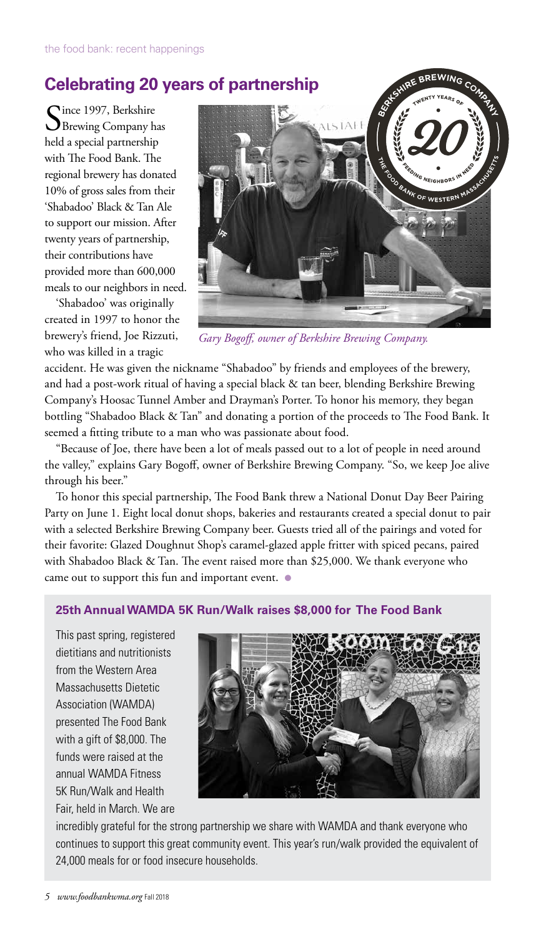# **Celebrating 20 years of partnership**

Since 1997, Berkshire<br>Brewing Company has held a special partnership with The Food Bank. The regional brewery has donated 10% of gross sales from their 'Shabadoo' Black & Tan Ale to support our mission. After twenty years of partnership, their contributions have provided more than 600,000 meals to our neighbors in need.

'Shabadoo' was originally created in 1997 to honor the brewery's friend, Joe Rizzuti, who was killed in a tragic



*Gary Bogoff, owner of Berkshire Brewing Company.*

accident. He was given the nickname "Shabadoo" by friends and employees of the brewery, and had a post-work ritual of having a special black & tan beer, blending Berkshire Brewing Company's Hoosac Tunnel Amber and Drayman's Porter. To honor his memory, they began bottling "Shabadoo Black & Tan" and donating a portion of the proceeds to The Food Bank. It seemed a fitting tribute to a man who was passionate about food.

"Because of Joe, there have been a lot of meals passed out to a lot of people in need around the valley," explains Gary Bogoff, owner of Berkshire Brewing Company. "So, we keep Joe alive through his beer."

To honor this special partnership, The Food Bank threw a National Donut Day Beer Pairing Party on June 1. Eight local donut shops, bakeries and restaurants created a special donut to pair with a selected Berkshire Brewing Company beer. Guests tried all of the pairings and voted for their favorite: Glazed Doughnut Shop's caramel-glazed apple fritter with spiced pecans, paired with Shabadoo Black & Tan. The event raised more than \$25,000. We thank everyone who came out to support this fun and important event. ●

### **25th Annual WAMDA 5K Run/Walk raises \$8,000 for The Food Bank**

This past spring, registered dietitians and nutritionists from the Western Area Massachusetts Dietetic Association (WAMDA) presented The Food Bank with a gift of \$8,000. The funds were raised at the annual WAMDA Fitness 5K Run/Walk and Health Fair, held in March. We are



incredibly grateful for the strong partnership we share with WAMDA and thank everyone who continues to support this great community event. This year's run/walk provided the equivalent of 24,000 meals for or food insecure households.